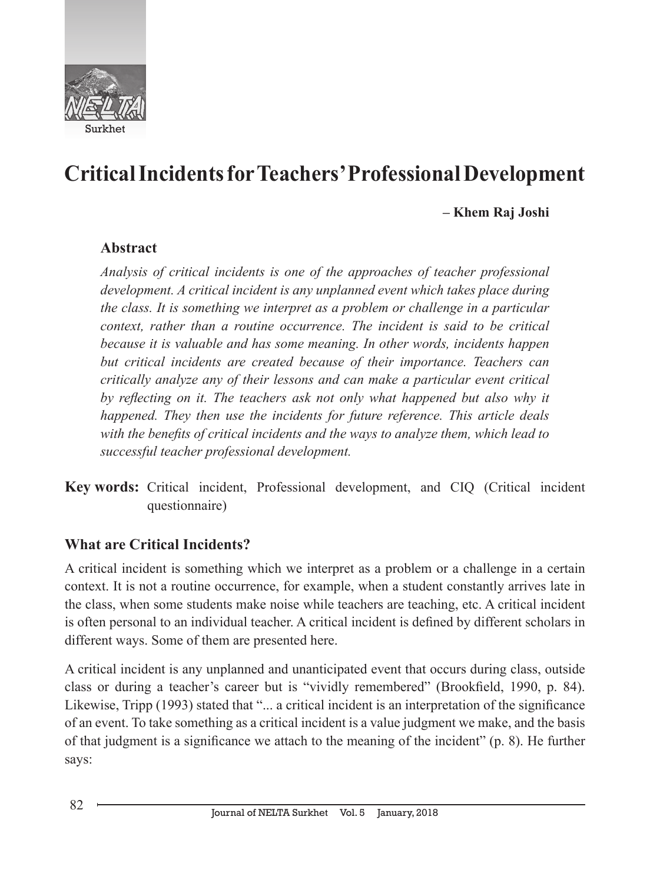

### **– Khem Raj Joshi**

### **Abstract**

*Analysis of critical incidents is one of the approaches of teacher professional development. A critical incident is any unplanned event which takes place during the class. It is something we interpret as a problem or challenge in a particular context, rather than a routine occurrence. The incident is said to be critical because it is valuable and has some meaning. In other words, incidents happen but critical incidents are created because of their importance. Teachers can critically analyze any of their lessons and can make a particular event critical by reflecting on it. The teachers ask not only what happened but also why it happened. They then use the incidents for future reference. This article deals with the benefits of critical incidents and the ways to analyze them, which lead to successful teacher professional development.*

**Key words:** Critical incident, Professional development, and CIQ (Critical incident questionnaire)

### **What are Critical Incidents?**

A critical incident is something which we interpret as a problem or a challenge in a certain context. It is not a routine occurrence, for example, when a student constantly arrives late in the class, when some students make noise while teachers are teaching, etc. A critical incident is often personal to an individual teacher. A critical incident is defined by different scholars in different ways. Some of them are presented here.

A critical incident is any unplanned and unanticipated event that occurs during class, outside class or during a teacher's career but is "vividly remembered" (Brookfield, 1990, p. 84). Likewise, Tripp (1993) stated that "... a critical incident is an interpretation of the significance of an event. To take something as a critical incident is a value judgment we make, and the basis of that judgment is a significance we attach to the meaning of the incident" (p. 8). He further says: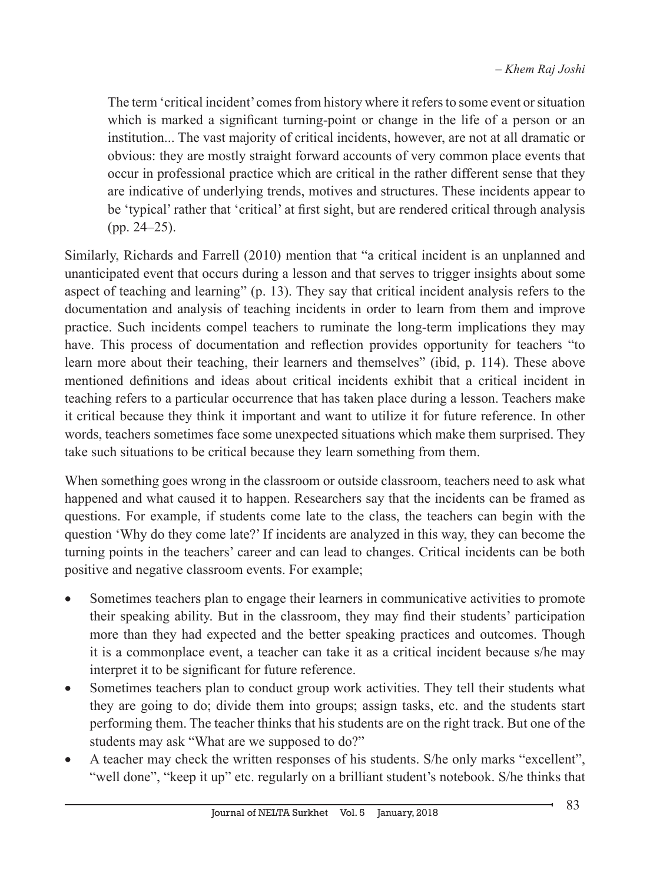The term 'critical incident' comes from history where it refers to some event or situation which is marked a significant turning-point or change in the life of a person or an institution... The vast majority of critical incidents, however, are not at all dramatic or obvious: they are mostly straight forward accounts of very common place events that occur in professional practice which are critical in the rather different sense that they are indicative of underlying trends, motives and structures. These incidents appear to be 'typical' rather that 'critical' at first sight, but are rendered critical through analysis (pp. 24–25).

Similarly, Richards and Farrell (2010) mention that "a critical incident is an unplanned and unanticipated event that occurs during a lesson and that serves to trigger insights about some aspect of teaching and learning" (p. 13). They say that critical incident analysis refers to the documentation and analysis of teaching incidents in order to learn from them and improve practice. Such incidents compel teachers to ruminate the long-term implications they may have. This process of documentation and reflection provides opportunity for teachers "to learn more about their teaching, their learners and themselves" (ibid, p. 114). These above mentioned definitions and ideas about critical incidents exhibit that a critical incident in teaching refers to a particular occurrence that has taken place during a lesson. Teachers make it critical because they think it important and want to utilize it for future reference. In other words, teachers sometimes face some unexpected situations which make them surprised. They take such situations to be critical because they learn something from them.

When something goes wrong in the classroom or outside classroom, teachers need to ask what happened and what caused it to happen. Researchers say that the incidents can be framed as questions. For example, if students come late to the class, the teachers can begin with the question 'Why do they come late?' If incidents are analyzed in this way, they can become the turning points in the teachers' career and can lead to changes. Critical incidents can be both positive and negative classroom events. For example;

- Sometimes teachers plan to engage their learners in communicative activities to promote their speaking ability. But in the classroom, they may find their students' participation more than they had expected and the better speaking practices and outcomes. Though it is a commonplace event, a teacher can take it as a critical incident because s/he may interpret it to be significant for future reference.
- Sometimes teachers plan to conduct group work activities. They tell their students what they are going to do; divide them into groups; assign tasks, etc. and the students start performing them. The teacher thinks that his students are on the right track. But one of the students may ask "What are we supposed to do?"
- A teacher may check the written responses of his students. S/he only marks "excellent", "well done", "keep it up" etc. regularly on a brilliant student's notebook. S/he thinks that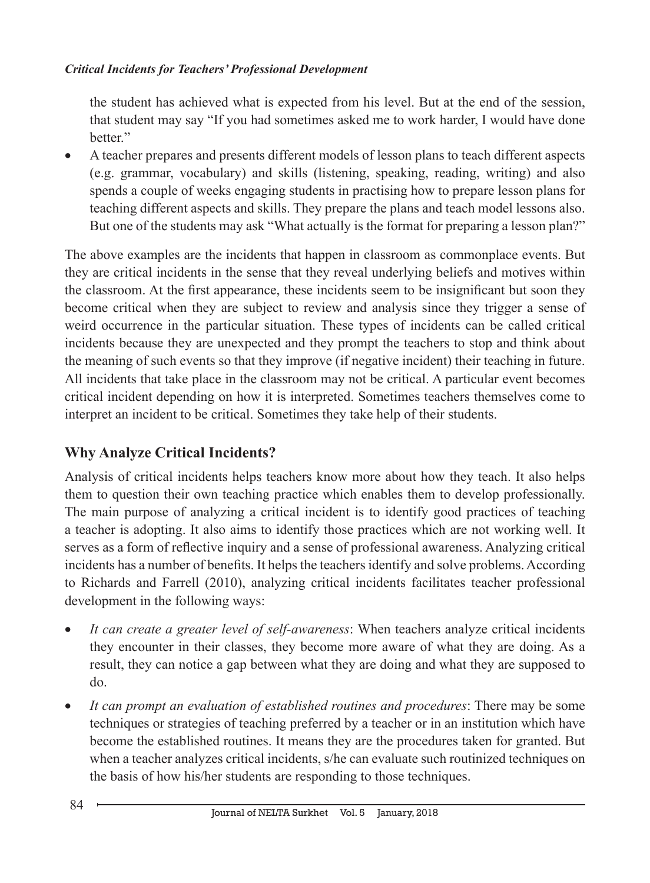the student has achieved what is expected from his level. But at the end of the session, that student may say "If you had sometimes asked me to work harder, I would have done better."

• A teacher prepares and presents different models of lesson plans to teach different aspects (e.g. grammar, vocabulary) and skills (listening, speaking, reading, writing) and also spends a couple of weeks engaging students in practising how to prepare lesson plans for teaching different aspects and skills. They prepare the plans and teach model lessons also. But one of the students may ask "What actually is the format for preparing a lesson plan?"

The above examples are the incidents that happen in classroom as commonplace events. But they are critical incidents in the sense that they reveal underlying beliefs and motives within the classroom. At the first appearance, these incidents seem to be insignificant but soon they become critical when they are subject to review and analysis since they trigger a sense of weird occurrence in the particular situation. These types of incidents can be called critical incidents because they are unexpected and they prompt the teachers to stop and think about the meaning of such events so that they improve (if negative incident) their teaching in future. All incidents that take place in the classroom may not be critical. A particular event becomes critical incident depending on how it is interpreted. Sometimes teachers themselves come to interpret an incident to be critical. Sometimes they take help of their students.

### **Why Analyze Critical Incidents?**

Analysis of critical incidents helps teachers know more about how they teach. It also helps them to question their own teaching practice which enables them to develop professionally. The main purpose of analyzing a critical incident is to identify good practices of teaching a teacher is adopting. It also aims to identify those practices which are not working well. It serves as a form of reflective inquiry and a sense of professional awareness. Analyzing critical incidents has a number of benefits. It helps the teachers identify and solve problems. According to Richards and Farrell (2010), analyzing critical incidents facilitates teacher professional development in the following ways:

- *It can create a greater level of self-awareness*: When teachers analyze critical incidents they encounter in their classes, they become more aware of what they are doing. As a result, they can notice a gap between what they are doing and what they are supposed to do.
- • *It can prompt an evaluation of established routines and procedures*: There may be some techniques or strategies of teaching preferred by a teacher or in an institution which have become the established routines. It means they are the procedures taken for granted. But when a teacher analyzes critical incidents, s/he can evaluate such routinized techniques on the basis of how his/her students are responding to those techniques.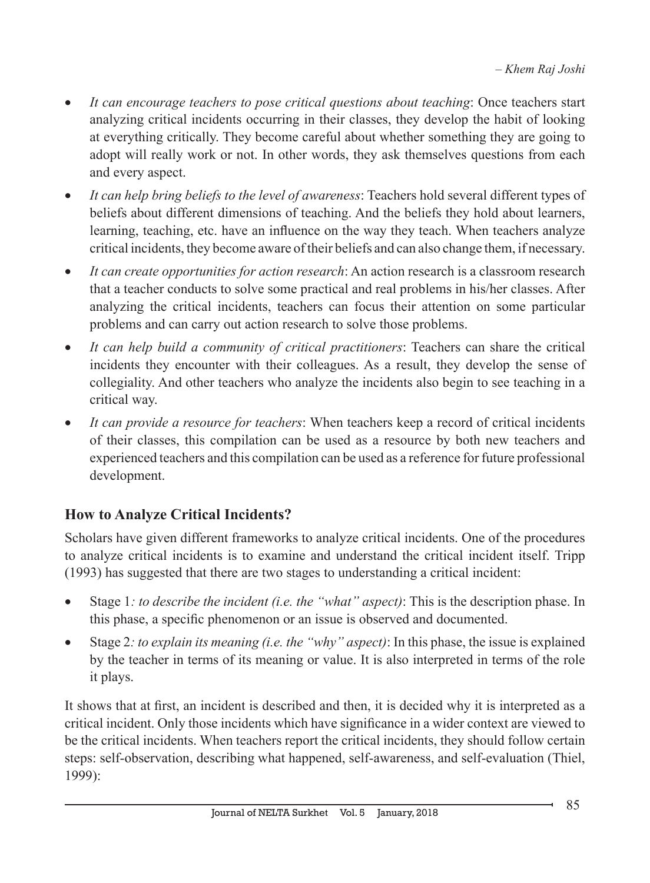- • *It can encourage teachers to pose critical questions about teaching*: Once teachers start analyzing critical incidents occurring in their classes, they develop the habit of looking at everything critically. They become careful about whether something they are going to adopt will really work or not. In other words, they ask themselves questions from each and every aspect.
- • *It can help bring beliefs to the level of awareness*: Teachers hold several different types of beliefs about different dimensions of teaching. And the beliefs they hold about learners, learning, teaching, etc. have an influence on the way they teach. When teachers analyze critical incidents, they become aware of their beliefs and can also change them, if necessary.
- • *It can create opportunities for action research*: An action research is a classroom research that a teacher conducts to solve some practical and real problems in his/her classes. After analyzing the critical incidents, teachers can focus their attention on some particular problems and can carry out action research to solve those problems.
- *It can help build a community of critical practitioners*: Teachers can share the critical incidents they encounter with their colleagues. As a result, they develop the sense of collegiality. And other teachers who analyze the incidents also begin to see teaching in a critical way.
- *It can provide a resource for teachers*: When teachers keep a record of critical incidents of their classes, this compilation can be used as a resource by both new teachers and experienced teachers and this compilation can be used as a reference for future professional development.

### **How to Analyze Critical Incidents?**

Scholars have given different frameworks to analyze critical incidents. One of the procedures to analyze critical incidents is to examine and understand the critical incident itself. Tripp (1993) has suggested that there are two stages to understanding a critical incident:

- Stage 1*: to describe the incident (i.e. the "what" aspect)*: This is the description phase. In this phase, a specific phenomenon or an issue is observed and documented.
- Stage 2*: to explain its meaning (i.e. the "why" aspect)*: In this phase, the issue is explained by the teacher in terms of its meaning or value. It is also interpreted in terms of the role it plays.

It shows that at first, an incident is described and then, it is decided why it is interpreted as a critical incident. Only those incidents which have significance in a wider context are viewed to be the critical incidents. When teachers report the critical incidents, they should follow certain steps: self-observation, describing what happened, self-awareness, and self-evaluation (Thiel, 1999):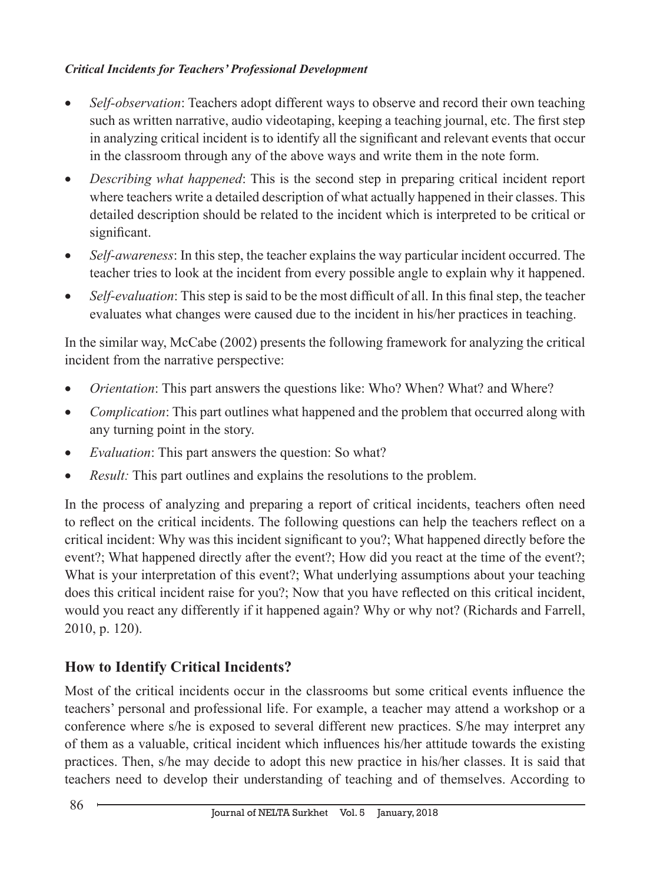- *Self-observation*: Teachers adopt different ways to observe and record their own teaching such as written narrative, audio videotaping, keeping a teaching journal, etc. The first step in analyzing critical incident is to identify all the significant and relevant events that occur in the classroom through any of the above ways and write them in the note form.
- *Describing what happened*: This is the second step in preparing critical incident report where teachers write a detailed description of what actually happened in their classes. This detailed description should be related to the incident which is interpreted to be critical or significant.
- Self-awareness: In this step, the teacher explains the way particular incident occurred. The teacher tries to look at the incident from every possible angle to explain why it happened.
- *Self-evaluation*: This step is said to be the most difficult of all. In this final step, the teacher evaluates what changes were caused due to the incident in his/her practices in teaching.

In the similar way, McCabe (2002) presents the following framework for analyzing the critical incident from the narrative perspective:

- *Orientation*: This part answers the questions like: Who? When? What? and Where?
- *Complication*: This part outlines what happened and the problem that occurred along with any turning point in the story.
- *Evaluation*: This part answers the question: So what?
- *Result:* This part outlines and explains the resolutions to the problem.

In the process of analyzing and preparing a report of critical incidents, teachers often need to reflect on the critical incidents. The following questions can help the teachers reflect on a critical incident: Why was this incident significant to you?; What happened directly before the event?; What happened directly after the event?; How did you react at the time of the event?; What is your interpretation of this event?; What underlying assumptions about your teaching does this critical incident raise for you?; Now that you have reflected on this critical incident, would you react any differently if it happened again? Why or why not? (Richards and Farrell, 2010, p. 120).

## **How to Identify Critical Incidents?**

Most of the critical incidents occur in the classrooms but some critical events influence the teachers' personal and professional life. For example, a teacher may attend a workshop or a conference where s/he is exposed to several different new practices. S/he may interpret any of them as a valuable, critical incident which influences his/her attitude towards the existing practices. Then, s/he may decide to adopt this new practice in his/her classes. It is said that teachers need to develop their understanding of teaching and of themselves. According to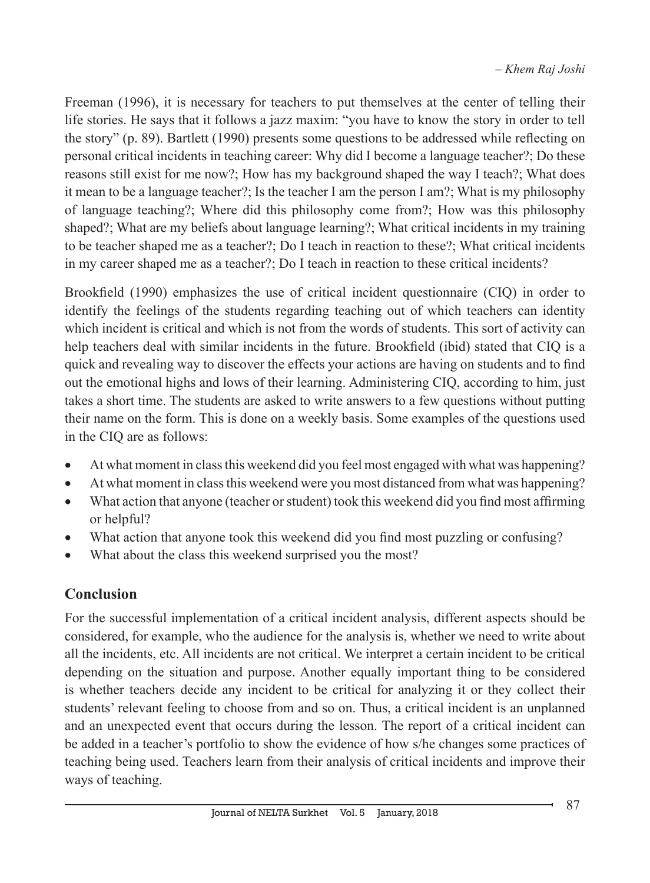Freeman (1996), it is necessary for teachers to put themselves at the center of telling their life stories. He says that it follows a jazz maxim: "you have to know the story in order to tell the story" (p. 89). Bartlett (1990) presents some questions to be addressed while reflecting on personal critical incidents in teaching career: Why did I become a language teacher?; Do these reasons still exist for me now?; How has my background shaped the way I teach?; What does it mean to be a language teacher?; Is the teacher I am the person I am?; What is my philosophy of language teaching?; Where did this philosophy come from?; How was this philosophy shaped?; What are my beliefs about language learning?; What critical incidents in my training to be teacher shaped me as a teacher?; Do I teach in reaction to these?; What critical incidents in my career shaped me as a teacher?; Do I teach in reaction to these critical incidents?

Brookfield (1990) emphasizes the use of critical incident questionnaire (CIQ) in order to identify the feelings of the students regarding teaching out of which teachers can identity which incident is critical and which is not from the words of students. This sort of activity can help teachers deal with similar incidents in the future. Brookfield (ibid) stated that CIQ is a quick and revealing way to discover the effects your actions are having on students and to find out the emotional highs and lows of their learning. Administering CIQ, according to him, just takes a short time. The students are asked to write answers to a few questions without putting their name on the form. This is done on a weekly basis. Some examples of the questions used in the CIQ are as follows:

- At what moment in class this weekend did you feel most engaged with what was happening?
- At what moment in class this weekend were you most distanced from what was happening?
- What action that anyone (teacher or student) took this weekend did you find most affirming or helpful?
- What action that anyone took this weekend did you find most puzzling or confusing?
- What about the class this weekend surprised you the most?

### **Conclusion**

For the successful implementation of a critical incident analysis, different aspects should be considered, for example, who the audience for the analysis is, whether we need to write about all the incidents, etc. All incidents are not critical. We interpret a certain incident to be critical depending on the situation and purpose. Another equally important thing to be considered is whether teachers decide any incident to be critical for analyzing it or they collect their students' relevant feeling to choose from and so on. Thus, a critical incident is an unplanned and an unexpected event that occurs during the lesson. The report of a critical incident can be added in a teacher's portfolio to show the evidence of how s/he changes some practices of teaching being used. Teachers learn from their analysis of critical incidents and improve their ways of teaching.